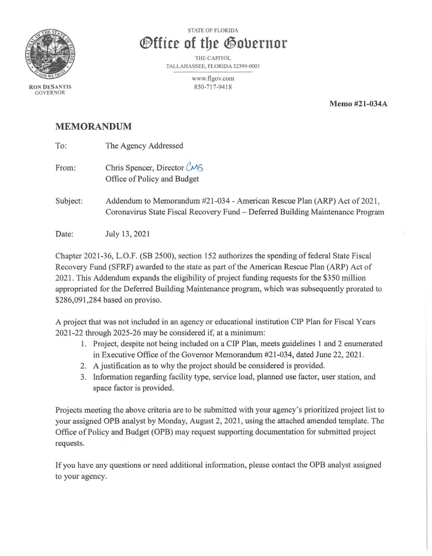

**RON DESANTIS**  GOVERNOR

STATE OF FLORIDA

## *<u>®ffice of the Governor</u>*

THE CAPITOL TALLAHASSEE, FLORIDA 32399-0001

> www.flgov.com 850-717-94 18

> > **Memo #21-034A**

## **MEMORANDUM**

| To:      | The Agency Addressed                                                                                                                                       |
|----------|------------------------------------------------------------------------------------------------------------------------------------------------------------|
| From:    | Chris Spencer, Director CMS<br>Office of Policy and Budget                                                                                                 |
| Subject: | Addendum to Memorandum #21-034 - American Rescue Plan (ARP) Act of 2021,<br>Coronavirus State Fiscal Recovery Fund - Deferred Building Maintenance Program |
| Date:    | July 13, 2021                                                                                                                                              |

Chapter 2021-36, L.O.F. (SB 2500), section 152 authorizes the spending of federal State Fiscal Recovery Fund (SFRF) awarded to the state as part of the American Rescue Plan (ARP) Act of 2021. This Addendum expands the eligibility of project funding requests for the \$350 million appropriated for the Deferred Building Maintenance program, which was subsequently prorated to \$286,091,284 based on proviso.

A project that was not included in an agency or educational institution CIP Plan for Fiscal Years 2021-22 through 2025-26 may be considered if, at a minimum:

- 1. Project, despite not being included on a CIP Plan, meets guidelines 1 and 2 enumerated in Executive Office of the Governor Memorandum #21-034, dated June 22, 2021.
- 2. A justification as to why the project should be considered is provided.
- 3. Information regarding facility type, service load, planned use factor, user station, and space factor is provided.

Projects meeting the above criteria are to be submitted with your agency's prioritized project list to your assigned OPB analyst by Monday, August 2, 2021, using the attached amended template. The Office of Policy and Budget (OPB) may request supporting documentation for submitted project requests.

If you have any questions or need additional information, please contact the OPB analyst assigned to your agency.